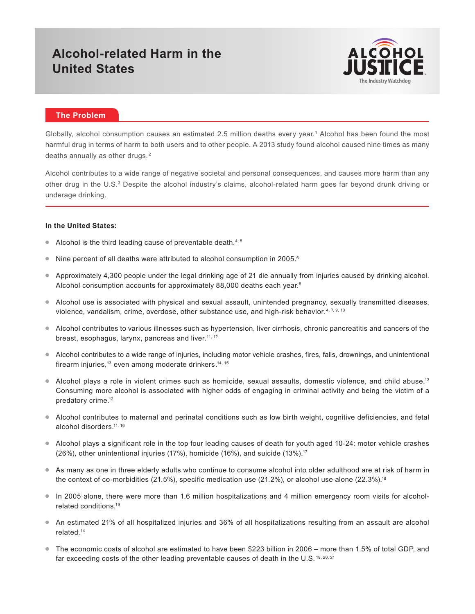# **Alcohol-related Harm in the United States**



## **The Problem**

Globally, alcohol consumption causes an estimated 2.5 million deaths every year.<sup>1</sup> Alcohol has been found the most harmful drug in terms of harm to both users and to other people. A 2013 study found alcohol caused nine times as many deaths annually as other drugs. <sup>2</sup>

Alcohol contributes to a wide range of negative societal and personal consequences, and causes more harm than any other drug in the U.S.<sup>3</sup> Despite the alcohol industry's claims, alcohol-related harm goes far beyond drunk driving or underage drinking.

#### **In the United States:**

- Alcohol is the third leading cause of preventable death. $4, 5$
- $\bullet$  Nine percent of all deaths were attributed to alcohol consumption in 2005.<sup>6</sup>
- Approximately 4,300 people under the legal drinking age of 21 die annually from injuries caused by drinking alcohol. Alcohol consumption accounts for approximately 88,000 deaths each year.<sup>8</sup>
- Alcohol use is associated with physical and sexual assault, unintended pregnancy, sexually transmitted diseases, violence, vandalism, crime, overdose, other substance use, and high-risk behavior.<sup>4, 7, 9, 10</sup>
- Alcohol contributes to various illnesses such as hypertension, liver cirrhosis, chronic pancreatitis and cancers of the breast, esophagus, larynx, pancreas and liver.<sup>11, 12</sup>
- Alcohol contributes to a wide range of injuries, including motor vehicle crashes, fires, falls, drownings, and unintentional firearm injuries,<sup>13</sup> even among moderate drinkers.<sup>14, 15</sup>
- $\bullet$  Alcohol plays a role in violent crimes such as homicide, sexual assaults, domestic violence, and child abuse.<sup>13</sup> Consuming more alcohol is associated with higher odds of engaging in criminal activity and being the victim of a predatory crime.<sup>12</sup>
- Alcohol contributes to maternal and perinatal conditions such as low birth weight, cognitive deficiencies, and fetal alcohol disorders.11, 16
- Alcohol plays a significant role in the top four leading causes of death for youth aged 10-24: motor vehicle crashes (26%), other unintentional injuries (17%), homicide (16%), and suicide (13%).17
- As many as one in three elderly adults who continue to consume alcohol into older adulthood are at risk of harm in the context of co-morbidities (21.5%), specific medication use (21.2%), or alcohol use alone (22.3%).<sup>18</sup>
- In 2005 alone, there were more than 1.6 million hospitalizations and 4 million emergency room visits for alcoholrelated conditions.19
- An estimated 21% of all hospitalized injuries and 36% of all hospitalizations resulting from an assault are alcohol related.14
- The economic costs of alcohol are estimated to have been \$223 billion in 2006 more than 1.5% of total GDP, and far exceeding costs of the other leading preventable causes of death in the U.S. 19, 20, 21